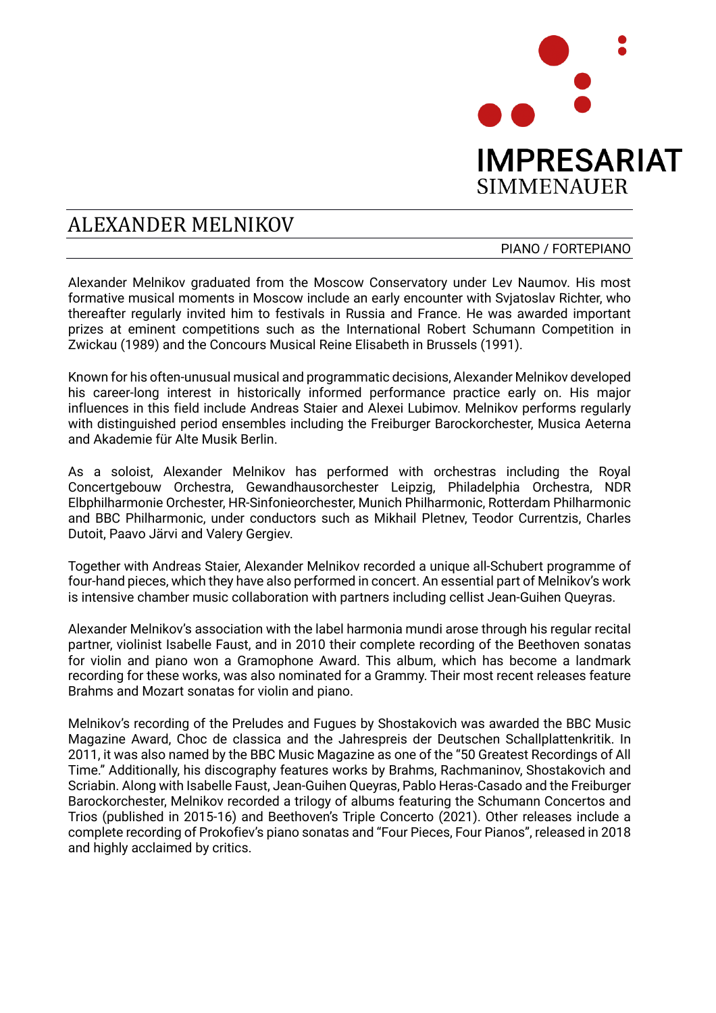

## ALEXANDER MELNIKOV

PIANO / FORTEPIANO

Alexander Melnikov graduated from the Moscow Conservatory under Lev Naumov. His most formative musical moments in Moscow include an early encounter with Svjatoslav Richter, who thereafter regularly invited him to festivals in Russia and France. He was awarded important prizes at eminent competitions such as the International Robert Schumann Competition in Zwickau (1989) and the Concours Musical Reine Elisabeth in Brussels (1991).

Known for his often-unusual musical and programmatic decisions, Alexander Melnikov developed his career-long interest in historically informed performance practice early on. His major influences in this field include Andreas Staier and Alexei Lubimov. Melnikov performs regularly with distinguished period ensembles including the Freiburger Barockorchester, Musica Aeterna and Akademie für Alte Musik Berlin.

As a soloist, Alexander Melnikov has performed with orchestras including the Royal Concertgebouw Orchestra, Gewandhausorchester Leipzig, Philadelphia Orchestra, NDR Elbphilharmonie Orchester, HR-Sinfonieorchester, Munich Philharmonic, Rotterdam Philharmonic and BBC Philharmonic, under conductors such as Mikhail Pletnev, Teodor Currentzis, Charles Dutoit, Paavo Järvi and Valery Gergiev.

Together with Andreas Staier, Alexander Melnikov recorded a unique all-Schubert programme of four-hand pieces, which they have also performed in concert. An essential part of Melnikov's work is intensive chamber music collaboration with partners including cellist Jean-Guihen Queyras.

Alexander Melnikov's association with the label harmonia mundi arose through his regular recital partner, violinist Isabelle Faust, and in 2010 their complete recording of the Beethoven sonatas for violin and piano won a Gramophone Award. This album, which has become a landmark recording for these works, was also nominated for a Grammy. Their most recent releases feature Brahms and Mozart sonatas for violin and piano.

Melnikov's recording of the Preludes and Fugues by Shostakovich was awarded the BBC Music Magazine Award, Choc de classica and the Jahrespreis der Deutschen Schallplattenkritik. In 2011, it was also named by the BBC Music Magazine as one of the "50 Greatest Recordings of All Time." Additionally, his discography features works by Brahms, Rachmaninov, Shostakovich and Scriabin. Along with Isabelle Faust, Jean-Guihen Queyras, Pablo Heras-Casado and the Freiburger Barockorchester, Melnikov recorded a trilogy of albums featuring the Schumann Concertos and Trios (published in 2015-16) and Beethoven's Triple Concerto (2021). Other releases include a complete recording of Prokofiev's piano sonatas and "Four Pieces, Four Pianos", released in 2018 and highly acclaimed by critics.